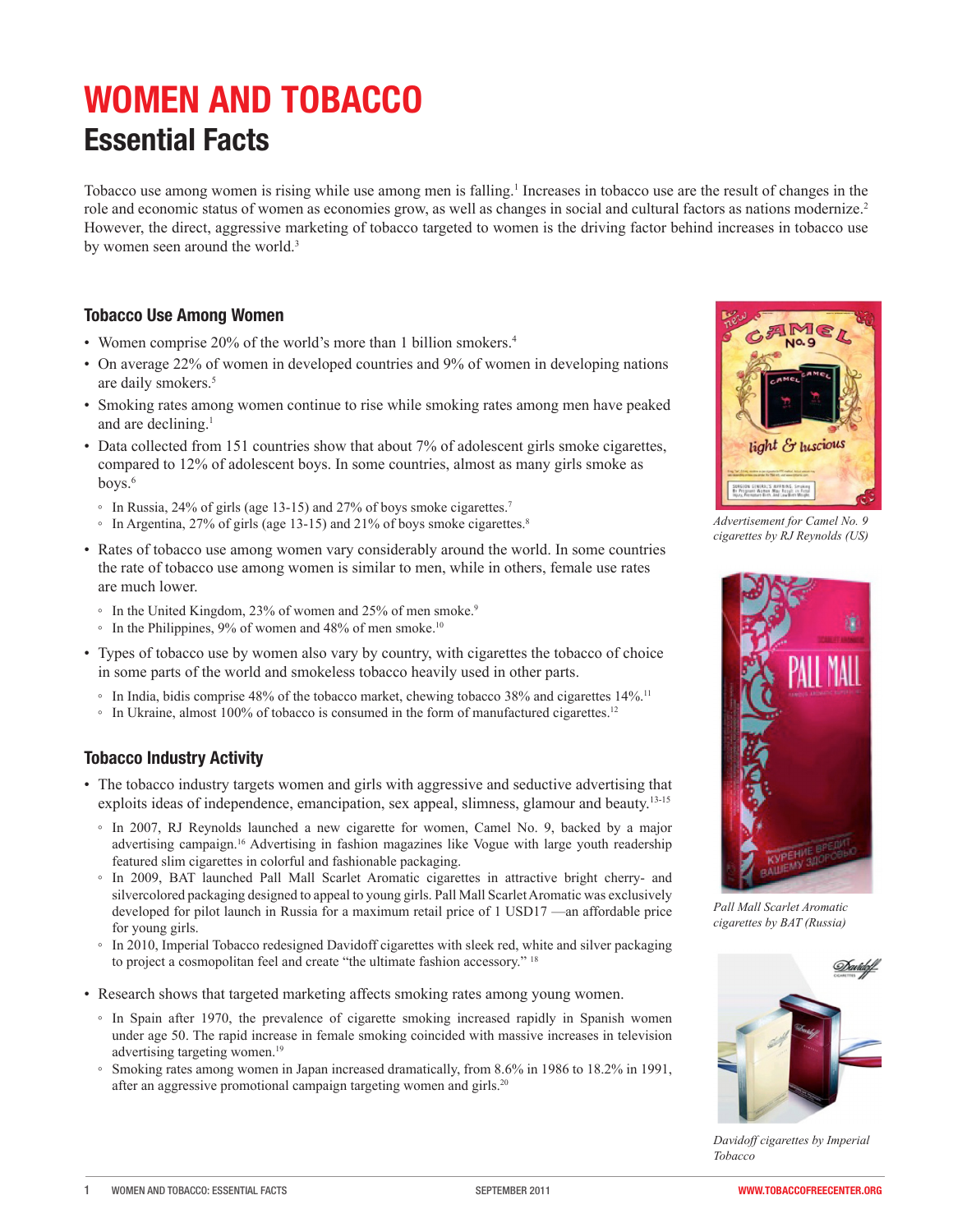# **WOMEN AND TOBACCO Essential Facts**

Tobacco use among women is rising while use among men is falling.1 Increases in tobacco use are the result of changes in the role and economic status of women as economies grow, as well as changes in social and cultural factors as nations modernize.<sup>2</sup> However, the direct, aggressive marketing of tobacco targeted to women is the driving factor behind increases in tobacco use by women seen around the world.<sup>3</sup>

## **Tobacco Use Among Women**

- Women comprise 20% of the world's more than 1 billion smokers.<sup>4</sup>
- On average 22% of women in developed countries and 9% of women in developing nations are daily smokers.<sup>5</sup>
- • Smoking rates among women continue to rise while smoking rates among men have peaked and are declining.<sup>1</sup>
- Data collected from 151 countries show that about 7% of adolescent girls smoke cigarettes, compared to 12% of adolescent boys. In some countries, almost as many girls smoke as boys. $6$ 
	- In Russia, 24% of girls (age 13-15) and 27% of boys smoke cigarettes.7
	- In Argentina, 27% of girls (age 13-15) and 21% of boys smoke cigarettes.<sup>8</sup>
- Rates of tobacco use among women vary considerably around the world. In some countries the rate of tobacco use among women is similar to men, while in others, female use rates are much lower.
	- In the United Kingdom, 23% of women and 25% of men smoke.9
	- $\degree$  In the Philippines, 9% of women and 48% of men smoke.<sup>10</sup>
- • Types of tobacco use by women also vary by country, with cigarettes the tobacco of choice in some parts of the world and smokeless tobacco heavily used in other parts.
	- In India, bidis comprise 48% of the tobacco market, chewing tobacco 38% and cigarettes 14%.11
	- In Ukraine, almost 100% of tobacco is consumed in the form of manufactured cigarettes.12

## **Tobacco Industry Activity**

- The tobacco industry targets women and girls with aggressive and seductive advertising that exploits ideas of independence, emancipation, sex appeal, slimness, glamour and beauty.<sup>13-15</sup>
	- In 2007, RJ Reynolds launched a new cigarette for women, Camel No. 9, backed by a major advertising campaign.16 Advertising in fashion magazines like Vogue with large youth readership featured slim cigarettes in colorful and fashionable packaging.
	- In 2009, BAT launched Pall Mall Scarlet Aromatic cigarettes in attractive bright cherry- and silvercolored packaging designed to appeal to young girls. Pall Mall Scarlet Aromatic was exclusively developed for pilot launch in Russia for a maximum retail price of 1 USD17 —an affordable price for young girls.
	- In 2010, Imperial Tobacco redesigned Davidoff cigarettes with sleek red, white and silver packaging to project a cosmopolitan feel and create "the ultimate fashion accessory." <sup>18</sup>
- • Research shows that targeted marketing affects smoking rates among young women.
	- In Spain after 1970, the prevalence of cigarette smoking increased rapidly in Spanish women under age 50. The rapid increase in female smoking coincided with massive increases in television advertising targeting women.19
	- Smoking rates among women in Japan increased dramatically, from 8.6% in 1986 to 18.2% in 1991, after an aggressive promotional campaign targeting women and girls.<sup>20</sup>



*Advertisement for Camel No. 9 cigarettes by RJ Reynolds (US)*



*Pall Mall Scarlet Aromatic cigarettes by BAT (Russia)*



*Davidoff cigarettes by Imperial Tobacco*